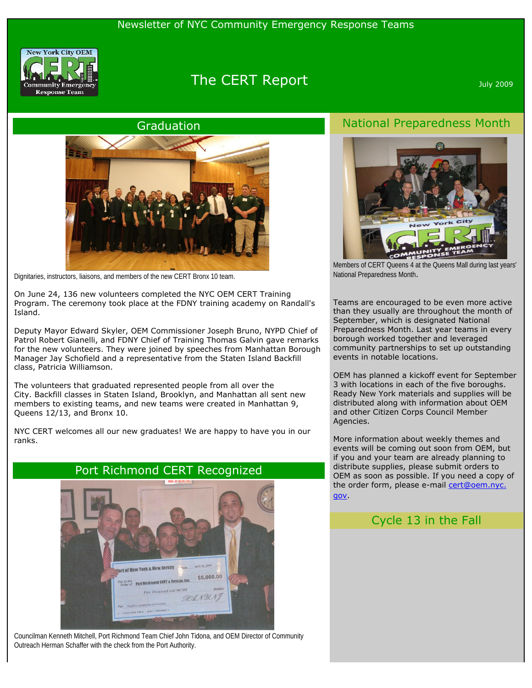

# The CERT Report **CERT Report** And *Sulvators* 2009

#### Graduation



Dignitaries, instructors, liaisons, and members of the new CERT Bronx 10 team.

On June 24, 136 new volunteers completed the NYC OEM CERT Training Program. The ceremony took place at the FDNY training academy on Randall's Island.

Deputy Mayor Edward Skyler, OEM Commissioner Joseph Bruno, NYPD Chief of Patrol Robert Gianelli, and FDNY Chief of Training Thomas Galvin gave remarks for the new volunteers. They were joined by speeches from Manhattan Borough Manager Jay Schofield and a representative from the Staten Island Backfill class, Patricia Williamson.

The volunteers that graduated represented people from all over the City. Backfill classes in Staten Island, Brooklyn, and Manhattan all sent new members to existing teams, and new teams were created in Manhattan 9, Queens 12/13, and Bronx 10.

NYC CERT welcomes all our new graduates! We are happy to have you in our ranks.



Councilman Kenneth Mitchell, Port Richmond Team Chief John Tidona, and OEM Director of Community Outreach Herman Schaffer with the check from the Port Authority.

### National Preparedness Month



Members of CERT Queens 4 at the Queens Mall during last years' National Preparedness Month.

Teams are encouraged to be even more active than they usually are throughout the month of September, which is designated National Preparedness Month. Last year teams in every borough worked together and leveraged community partnerships to set up outstanding events in notable locations.

OEM has planned a kickoff event for September 3 with locations in each of the five boroughs. Ready New York materials and supplies will be distributed along with information about OEM and other Citizen Corps Council Member Agencies.

More information about weekly themes and events will be coming out soon from OEM, but if you and your team are already planning to distribute supplies, please submit orders to OEM as soon as possible. If you need a copy of the order form, please e-mail [cert@oem.nyc.](mailto:cert@oem.nyc.gov) [gov.](mailto:cert@oem.nyc.gov)

#### Cycle 13 in the Fall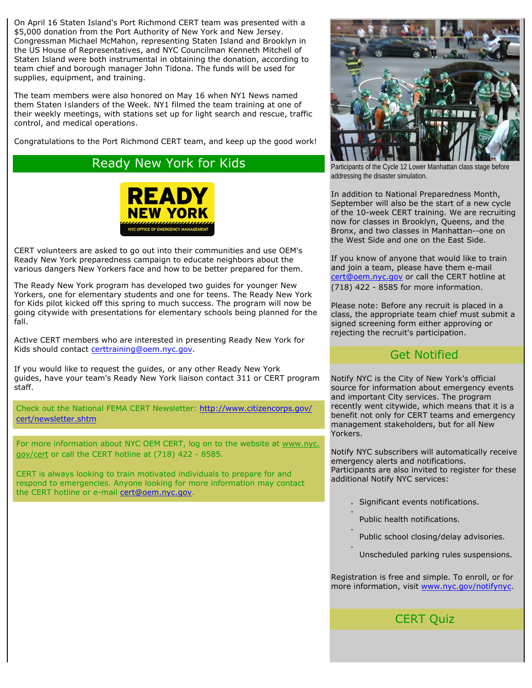On April 16 Staten Island's Port Richmond CERT team was presented with a \$5,000 donation from the Port Authority of New York and New Jersey. Congressman Michael McMahon, representing Staten Island and Brooklyn in the US House of Representatives, and NYC Councilman Kenneth Mitchell of Staten Island were both instrumental in obtaining the donation, according to team chief and borough manager John Tidona. The funds will be used for supplies, equipment, and training.

The team members were also honored on May 16 when NY1 News named them *Staten Islanders of the Week*. NY1 filmed the team training at one of their weekly meetings, with stations set up for light search and rescue, traffic control, and medical operations.

Congratulations to the Port Richmond CERT team, and keep up the good work!

## Ready New York for Kids



CERT volunteers are asked to go out into their communities and use OEM's Ready New York preparedness campaign to educate neighbors about the various dangers New Yorkers face and how to be better prepared for them.

The Ready New York program has developed two guides for younger New Yorkers, one for elementary students and one for teens. The Ready New York for Kids pilot kicked off this spring to much success. The program will now be going citywide with presentations for elementary schools being planned for the fall.

Active CERT members who are interested in presenting Ready New York for Kids should contact [certtraining@oem.nyc.gov](mailto:certtraining@oem.nyc.gov).

If you would like to request the guides, or any other Ready New York guides, have your team's Ready New York liaison contact 311 or CERT program staff.

Check out the National FEMA CERT Newsletter: [http://www.citizencorps.gov/](http://www.citizencorps.gov/cert/newsletter.shtm) [cert/newsletter.shtm](http://www.citizencorps.gov/cert/newsletter.shtm)

For more information about NYC OEM CERT, log on to the website at [www.nyc.](http://www.nyc.gov/cert) [gov/cert](http://www.nyc.gov/cert) or call the CERT hotline at (718) 422 - 8585.

CERT is always looking to train motivated individuals to prepare for and respond to emergencies. Anyone looking for more information may contact the CERT hotline or e-mail [cert@oem.nyc.gov.](mailto:cert@oem.nyc.gov)



Participants of the Cycle 12 Lower Manhattan class stage before addressing the disaster simulation.

In addition to National Preparedness Month, September will also be the start of a new cycle of the 10-week CERT training. We are recruiting now for classes in Brooklyn, Queens, and the Bronx, and two classes in Manhattan--one on the West Side and one on the East Side.

If you know of anyone that would like to train and join a team, please have them e-mail [cert@oem.nyc.gov](mailto:cert@oem.nyc.gov) or call the CERT hotline at (718) 422 - 8585 for more information.

Please note: Before any recruit is placed in a class, the appropriate team chief must submit a signed screening form either approving or rejecting the recruit's participation.

## Get Notified

Notify NYC is the City of New York's official source for information about emergency events and important City services. The program recently went citywide, which means that it is a benefit not only for CERT teams and emergency management stakeholders, but for all New Yorkers.

Notify NYC subscribers will automatically receive emergency alerts and notifications. Participants are also invited to register for these additional Notify NYC services:

- Significant events notifications.
- Public health notifications.

●

●

●

- Public school closing/delay advisories.
- Unscheduled parking rules suspensions.

Registration is free and simple. To enroll, or for more information, visit [www.nyc.gov/notifynyc.](http://www.nyc.gov/notifynyc)

## CERT Quiz